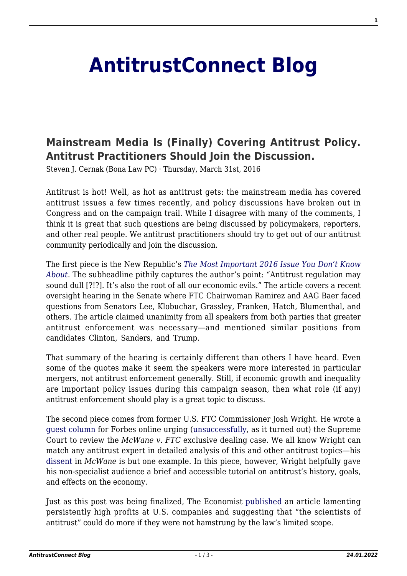## **[AntitrustConnect Blog](http://antitrustconnect.com/)**

## **[Mainstream Media Is \(Finally\) Covering Antitrust Policy.](http://antitrustconnect.com/2016/03/31/mainstream-media-is-finally-covering-antitrust-policy-antitrust-practitioners-should-join-the-discussion/) [Antitrust Practitioners Should Join the Discussion.](http://antitrustconnect.com/2016/03/31/mainstream-media-is-finally-covering-antitrust-policy-antitrust-practitioners-should-join-the-discussion/)**

Steven J. Cernak (Bona Law PC) · Thursday, March 31st, 2016

Antitrust is hot! Well, as hot as antitrust gets: the mainstream media has covered antitrust issues a few times recently, and policy discussions have broken out in Congress and on the campaign trail. While I disagree with many of the comments, I think it is great that such questions are being discussed by policymakers, reporters, and other real people. We antitrust practitioners should try to get out of our antitrust community periodically and join the discussion.

The first piece is the New Republic's *[The Most Important 2016 Issue You Don't Know](https://newrepublic.com/article/131412/important-2016-issue-dont-know) [About](https://newrepublic.com/article/131412/important-2016-issue-dont-know)*. The subheadline pithily captures the author's point: "Antitrust regulation may sound dull [?!?]. It's also the root of all our economic evils." The article covers a recent oversight hearing in the Senate where FTC Chairwoman Ramirez and AAG Baer faced questions from Senators Lee, Klobuchar, Grassley, Franken, Hatch, Blumenthal, and others. The article claimed unanimity from all speakers from both parties that greater antitrust enforcement was necessary—and mentioned similar positions from candidates Clinton, Sanders, and Trump.

That summary of the hearing is certainly different than others I have heard. Even some of the quotes make it seem the speakers were more interested in particular mergers, not antitrust enforcement generally. Still, if economic growth and inequality are important policy issues during this campaign season, then what role (if any) antitrust enforcement should play is a great topic to discuss.

The second piece comes from former U.S. FTC Commissioner Josh Wright. He wrote a [guest column](http://www.forbes.com/sites/danielfisher/2016/03/14/supreme-court-should-tell-ftc-on-antitrust/#41e0d3911483) for Forbes online urging ([unsuccessfully,](http://www.supremecourt.gov/orders/courtorders/032116zor_h3ci.pdf) as it turned out) the Supreme Court to review the *McWane v. FTC* exclusive dealing case. We all know Wright can match any antitrust expert in detailed analysis of this and other antitrust topics—his [dissent](https://www.ftc.gov/enforcement/cases-proceedings/101-0080b/mcwane-inc-star-pipe-products-ltd-matter) in *McWane* is but one example. In this piece, however, Wright helpfully gave his non-specialist audience a brief and accessible tutorial on antitrust's history, goals, and effects on the economy.

Just as this post was being finalized, The Economist [published](http://www.economist.com/node/21695385/print) an article lamenting persistently high profits at U.S. companies and suggesting that "the scientists of antitrust" could do more if they were not hamstrung by the law's limited scope.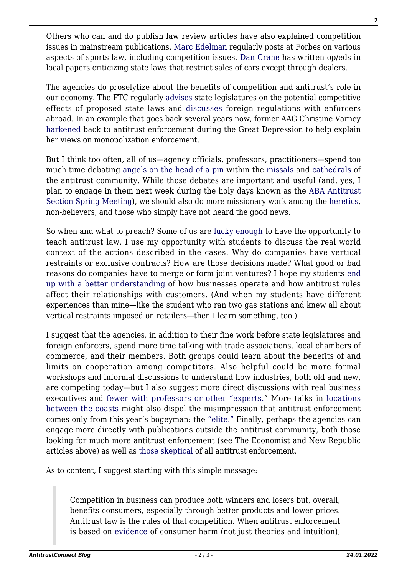Others who can and do publish law review articles have also explained competition issues in mainstream publications. [Marc Edelman](http://www.forbes.com/sites/marcedelman/#6db51a64679a) regularly posts at Forbes on various aspects of sports law, including competition issues. [Dan](http://www.freep.com/story/opinion/contributors/2014/10/17/tesla-michigan-car-sales/17379315/) [Crane](http://www.lansingstatejournal.com/story/opinion/contributors/viewpoints/2015/12/06/crane-time-michigan-say-yes-tesla/76780312/) has written op/eds in local papers criticizing state laws that restrict sales of cars except through dealers.

The agencies do proselytize about the benefits of competition and antitrust's role in our economy. The FTC regularly [advises](https://www.ftc.gov/policy/advocacy/advocacy-filings) state legislatures on the potential competitive effects of proposed state laws and [discusses](https://www.ftc.gov/policy/international) foreign regulations with enforcers abroad. In an example that goes back several years now, former AAG Christine Varney [harkened](https://www.justice.gov/atr/speech/vigorous-antitrust-enforcement-challenging-era) back to antitrust enforcement during the Great Depression to help explain her views on monopolization enforcement.

But I think too often, all of us—agency officials, professors, practitioners—spend too much time debating [angels on the head of a pin](https://en.wikipedia.org/wiki/How_many_angels_can_dance_on_the_head_of_a_pin%3F) within the [missals](http://shop.americanbar.org/eBus/Store/ProductDetails.aspx?productId=213824) and [cathedrals](http://www.marriott.com/hotels/travel/wasjw-jw-marriott-washington-dc/) of the antitrust community. While those debates are important and useful (and, yes, I plan to engage in them next week during the holy days known as the [ABA Antitrust](http://shop.americanbar.org/ebus/ABAEventsCalendar/EventDetails.aspx?productId=180111) [Section Spring Meeting](http://shop.americanbar.org/ebus/ABAEventsCalendar/EventDetails.aspx?productId=180111)), we should also do more missionary work among the [heretics](http://www.amazon.com/The-Antitrust-Religion-Edwin-Rockefeller/dp/1933995092), non-believers, and those who simply have not heard the good news.

So when and what to preach? Some of us are [lucky](http://www.law.umich.edu/FacultyBio/Pages/FacultyBio.aspx?FacID=sjcernak) [enough](http://www.cooley.edu/lawreview/_docs/2011/vol28/3/1-Faculty%20Masthead.pdf) to have the opportunity to teach antitrust law. I use my opportunity with students to discuss the real world context of the actions described in the cases. Why do companies have vertical restraints or exclusive contracts? How are those decisions made? What good or bad reasons do companies have to merge or form joint ventures? I hope my students [end](http://papers.ssrn.com/sol3/papers.cfm?abstract_id=2618477) [up with a better understanding](http://papers.ssrn.com/sol3/papers.cfm?abstract_id=2618477) of how businesses operate and how antitrust rules affect their relationships with customers. (And when my students have different experiences than mine—like the student who ran two gas stations and knew all about vertical restraints imposed on retailers—then I learn something, too.)

I suggest that the agencies, in addition to their fine work before state legislatures and foreign enforcers, spend more time talking with trade associations, local chambers of commerce, and their members. Both groups could learn about the benefits of and limits on cooperation among competitors. Also helpful could be more formal workshops and informal discussions to understand how industries, both old and new, are competing today—but I also suggest more direct discussions with real business executives and [fewer with professors or other "experts.](https://www.ftc.gov/news-events/events-calendar/2016/01/auto-distribution-current-issues-future-trends)" More talks in [locations](http://www.reuters.com/article/carparts-dojprobe-idUSL1N0BF74T20130215) [between the coasts](http://www.reuters.com/article/carparts-dojprobe-idUSL1N0BF74T20130215) might also dispel the misimpression that antitrust enforcement comes only from this year's bogeyman: the ["elite."](http://www.nationalreview.com/article/430059/working-class-voters-distrust-government-restore-trust-restoring-constitution) Finally, perhaps the agencies can engage more directly with publications outside the antitrust community, both those looking for much more antitrust enforcement (see The Economist and New Republic articles above) as well as [those](http://www.wsj.com/articles/SB10001424052702303562904579224251626379422) [skeptical](http://www.capitalismcenter.org/Philosophy/Commentary/03/03-30-03.htm) of all antitrust enforcement.

As to content, I suggest starting with this simple message:

Competition in business can produce both winners and losers but, overall, benefits consumers, especially through better products and lower prices. Antitrust law is the rules of that competition. When antitrust enforcement is based on [evidence](https://www.ftc.gov/sites/default/files/documents/public_statements/evidence-based-antitrust-enforcement-technology-sector/130223chinaevidence.pdf) of consumer harm (not just theories and intuition),